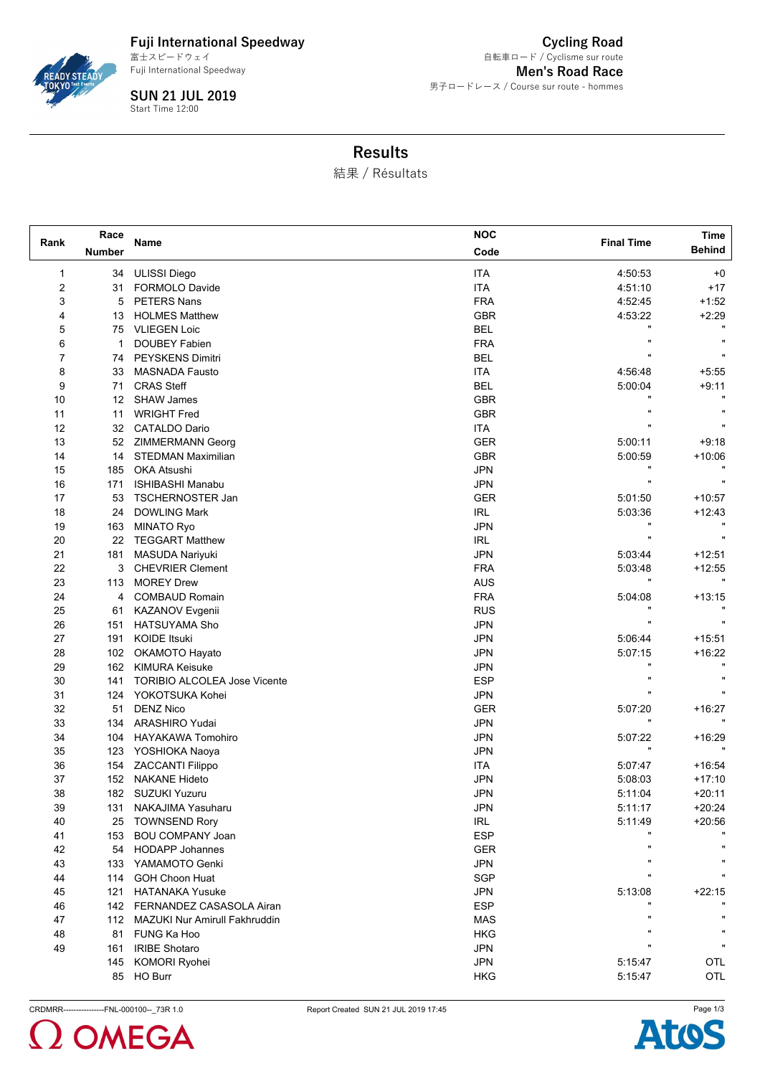

**Fuji International Speedway** Fuji International Speedway 富士スピードウェイ

**SUN 21 JUL 2019** Start Time 12:00

**Cycling Road Men's Road Race** 男子ロードレース / Course sur route - hommes 自転車ロード / Cyclisme sur route

## **Results**

結果 / Résultats

|                | Race                                            |                                                 | <b>NOC</b> |                   | Time          |  |
|----------------|-------------------------------------------------|-------------------------------------------------|------------|-------------------|---------------|--|
| Rank           | <b>Number</b>                                   | Name                                            | Code       | <b>Final Time</b> | <b>Behind</b> |  |
| 1              | 34                                              | <b>ULISSI Diego</b>                             | <b>ITA</b> | 4:50:53           | $+0$          |  |
| $\overline{c}$ | 31                                              | FORMOLO Davide                                  | <b>ITA</b> | 4:51:10           | $+17$         |  |
| 3              | 5                                               | <b>PETERS Nans</b>                              | <b>FRA</b> | 4:52:45           | $+1:52$       |  |
| 4              | 13                                              | <b>HOLMES Matthew</b>                           | <b>GBR</b> | 4:53:22           | $+2:29$       |  |
| 5              | 75                                              | <b>VLIEGEN Loic</b>                             | <b>BEL</b> |                   |               |  |
| 6              | 1                                               | <b>DOUBEY Fabien</b>                            | <b>FRA</b> | $\blacksquare$    |               |  |
| 7              | 74                                              | PEYSKENS Dimitri                                | <b>BEL</b> |                   |               |  |
| 8              | 33                                              | <b>MASNADA Fausto</b>                           | <b>ITA</b> | 4:56:48           | $+5:55$       |  |
| 9              | 71                                              | <b>CRAS Steff</b>                               | <b>BEL</b> | 5:00:04           | $+9.11$       |  |
| 10             | $12 \overline{ }$                               | <b>SHAW James</b>                               | <b>GBR</b> |                   |               |  |
| 11             | 11                                              | <b>WRIGHT Fred</b>                              | <b>GBR</b> |                   |               |  |
| 12             | 32                                              | <b>CATALDO Dario</b>                            | ITA        |                   |               |  |
| 13             | 52                                              | <b>ZIMMERMANN Georg</b>                         | <b>GER</b> | 5:00:11           | $+9:18$       |  |
| 14             | 14                                              | <b>STEDMAN Maximilian</b>                       | <b>GBR</b> | 5:00:59           | $+10:06$      |  |
| 15             | 185                                             | <b>OKA Atsushi</b>                              | <b>JPN</b> |                   |               |  |
| 16             | 171                                             | <b>ISHIBASHI Manabu</b>                         | <b>JPN</b> | Ħ                 |               |  |
| 17             | 53                                              | <b>TSCHERNOSTER Jan</b>                         | <b>GER</b> | 5:01:50           | $+10:57$      |  |
| 18             | 24<br><b>DOWLING Mark</b>                       |                                                 | <b>IRL</b> | 5.03.36           | $+12:43$      |  |
| 19             | 163                                             | <b>MINATO Ryo</b>                               | <b>JPN</b> |                   |               |  |
| 20             | 22                                              | <b>TEGGART Matthew</b>                          | <b>IRL</b> |                   |               |  |
| 21             | 181                                             | <b>MASUDA Nariyuki</b>                          | JPN        | 5:03:44           | $+12:51$      |  |
| 22             | 3                                               | <b>CHEVRIER Clement</b>                         | <b>FRA</b> | 5:03:48           | $+12:55$      |  |
| 23             | 113                                             | <b>MOREY Drew</b>                               | <b>AUS</b> |                   |               |  |
| 24             | 4                                               | <b>COMBAUD Romain</b>                           | <b>FRA</b> | 5:04:08           | $+13:15$      |  |
| 25             | 61                                              | KAZANOV Evgenii                                 | <b>RUS</b> |                   |               |  |
| 26             | 151                                             | HATSUYAMA Sho                                   | <b>JPN</b> |                   |               |  |
| 27             | 191                                             | <b>KOIDE Itsuki</b>                             | <b>JPN</b> | 5:06:44           | $+15.51$      |  |
| 28             | 102                                             | OKAMOTO Hayato                                  | <b>JPN</b> | 5:07:15           | $+16:22$      |  |
| 29             | 162                                             | <b>KIMURA Keisuke</b>                           | <b>JPN</b> |                   |               |  |
| 30             | 141                                             | TORIBIO ALCOLEA Jose Vicente                    | <b>ESP</b> |                   |               |  |
| 31             | 124                                             | YOKOTSUKA Kohei                                 | <b>JPN</b> |                   |               |  |
| 32             |                                                 |                                                 | <b>GER</b> | 5:07:20           | $+16:27$      |  |
| 33             | 51<br><b>DENZ Nico</b><br>134<br>ARASHIRO Yudai |                                                 | <b>JPN</b> |                   |               |  |
| 34             | 104                                             | <b>HAYAKAWA Tomohiro</b>                        | <b>JPN</b> | 5:07:22           | $+16:29$      |  |
| 35             | 123                                             | YOSHIOKA Naoya                                  | <b>JPN</b> |                   |               |  |
| 36             | 154                                             |                                                 | <b>ITA</b> | 5:07:47           | $+16.54$      |  |
| 37             | 152                                             | <b>ZACCANTI Filippo</b><br><b>NAKANE Hideto</b> | <b>JPN</b> | 5:08:03           | $+17:10$      |  |
| 38             | 182                                             | <b>SUZUKI Yuzuru</b>                            | <b>JPN</b> |                   | $+20:11$      |  |
| 39             |                                                 | 131 NAKAJIMA Yasuharu                           | <b>JPN</b> | 5:11:04           | $+20:24$      |  |
|                |                                                 |                                                 |            | 5:11:17           |               |  |
| 40             |                                                 | 25 TOWNSEND Rory                                | <b>IRL</b> | 5:11:49           | $+20:56$      |  |
| 41             | 153                                             | <b>BOU COMPANY Joan</b><br>54 HODAPP Johannes   | <b>ESP</b> |                   |               |  |
| 42             |                                                 |                                                 | GER        |                   |               |  |
| 43             |                                                 | 133 YAMAMOTO Genki<br>114 GOH Choon Huat        | <b>JPN</b> |                   |               |  |
| 44             |                                                 |                                                 | SGP        |                   |               |  |
| 45             | 121                                             | <b>HATANAKA Yusuke</b>                          | <b>JPN</b> | 5:13:08           | $+22:15$      |  |
| 46             |                                                 | 142 FERNANDEZ CASASOLA Airan                    | <b>ESP</b> |                   |               |  |
| 47             |                                                 | 112 MAZUKI Nur Amirull Fakhruddin               | <b>MAS</b> |                   |               |  |
| 48             |                                                 | 81 FUNG Ka Hoo                                  | <b>HKG</b> |                   |               |  |
| 49             | 161                                             | <b>IRIBE Shotaro</b>                            | <b>JPN</b> |                   |               |  |
|                | 145                                             | KOMORI Ryohei                                   | <b>JPN</b> | 5.15.47           | <b>OTL</b>    |  |
|                |                                                 | 85 HO Burr                                      | <b>HKG</b> | 5:15:47           | OTL           |  |





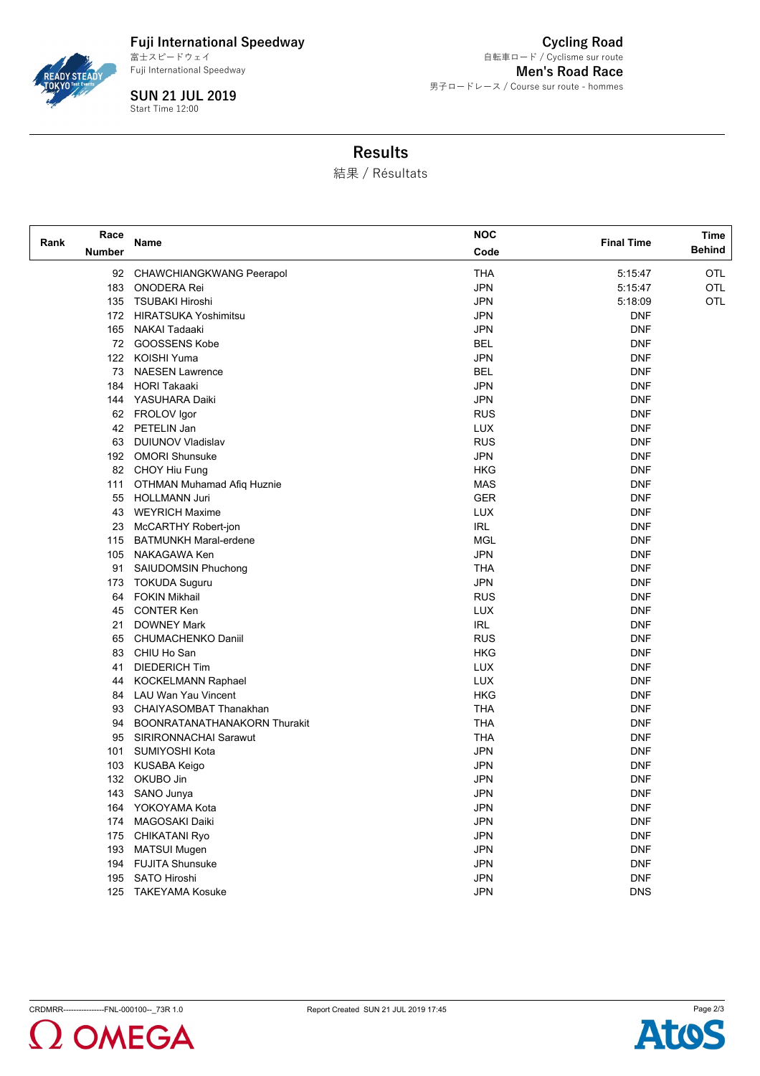

**Fuji International Speedway** Fuji International Speedway 富士スピードウェイ

**SUN 21 JUL 2019** Start Time 12:00

**Cycling Road Men's Road Race** 男子ロードレース / Course sur route - hommes 自転車ロード / Cyclisme sur route

## **Results**

結果 / Résultats

| Race                  |                                           | <b>NOC</b> | <b>Final Time</b> | Time          |
|-----------------------|-------------------------------------------|------------|-------------------|---------------|
| Rank<br><b>Number</b> | Name                                      | Code       |                   | <b>Behind</b> |
|                       | 92 CHAWCHIANGKWANG Peerapol               | <b>THA</b> | 5:15:47           | <b>OTL</b>    |
|                       | 183<br><b>ONODERA Rei</b>                 | <b>JPN</b> | 5:15:47           | OTL           |
|                       | 135 TSUBAKI Hiroshi                       | <b>JPN</b> | 5:18:09           | <b>OTL</b>    |
|                       | 172 HIRATSUKA Yoshimitsu                  | <b>JPN</b> | DNF               |               |
|                       | 165 NAKAI Tadaaki                         | <b>JPN</b> | <b>DNF</b>        |               |
|                       | 72 GOOSSENS Kobe                          | BEL        | <b>DNF</b>        |               |
|                       | KOISHI Yuma<br>122                        | <b>JPN</b> | <b>DNF</b>        |               |
|                       | <b>NAESEN Lawrence</b><br>73              | <b>BEL</b> | <b>DNF</b>        |               |
|                       | <b>HORI Takaaki</b><br>184                | <b>JPN</b> | DNF               |               |
|                       | 144 YASUHARA Daiki                        | <b>JPN</b> | <b>DNF</b>        |               |
|                       | 62 FROLOV Igor                            | <b>RUS</b> | <b>DNF</b>        |               |
|                       | 42 PETELIN Jan                            | <b>LUX</b> | <b>DNF</b>        |               |
|                       | <b>DUIUNOV Vladislav</b><br>63            | <b>RUS</b> | <b>DNF</b>        |               |
|                       | 192 OMORI Shunsuke                        | <b>JPN</b> | <b>DNF</b>        |               |
|                       | 82 CHOY Hiu Fung                          | <b>HKG</b> | <b>DNF</b>        |               |
|                       | <b>OTHMAN Muhamad Afiq Huznie</b><br>111  | <b>MAS</b> | <b>DNF</b>        |               |
|                       | <b>HOLLMANN Juri</b><br>55                | <b>GER</b> | <b>DNF</b>        |               |
|                       | <b>WEYRICH Maxime</b><br>43               | <b>LUX</b> | <b>DNF</b>        |               |
|                       | McCARTHY Robert-jon<br>23                 | <b>IRL</b> | <b>DNF</b>        |               |
|                       | 115 BATMUNKH Maral-erdene                 | <b>MGL</b> | <b>DNF</b>        |               |
|                       | NAKAGAWA Ken<br>105                       | <b>JPN</b> | <b>DNF</b>        |               |
|                       | 91<br>SAIUDOMSIN Phuchong                 | <b>THA</b> | <b>DNF</b>        |               |
|                       | 173<br>TOKUDA Suguru                      | <b>JPN</b> | <b>DNF</b>        |               |
|                       | <b>FOKIN Mikhail</b><br>64                | <b>RUS</b> | <b>DNF</b>        |               |
|                       | <b>CONTER Ken</b><br>45                   | <b>LUX</b> | <b>DNF</b>        |               |
|                       | <b>DOWNEY Mark</b><br>21                  | <b>IRL</b> | <b>DNF</b>        |               |
|                       | <b>CHUMACHENKO Daniil</b><br>65           | <b>RUS</b> | <b>DNF</b>        |               |
|                       | CHIU Ho San<br>83                         | <b>HKG</b> | <b>DNF</b>        |               |
|                       | <b>DIEDERICH Tim</b><br>41                | LUX        | <b>DNF</b>        |               |
|                       | <b>KOCKELMANN Raphael</b><br>44           | LUX        | DNF               |               |
|                       | LAU Wan Yau Vincent<br>84                 | <b>HKG</b> | <b>DNF</b>        |               |
|                       | CHAIYASOMBAT Thanakhan<br>93              | <b>THA</b> | <b>DNF</b>        |               |
|                       | <b>BOONRATANATHANAKORN Thurakit</b><br>94 | <b>THA</b> | <b>DNF</b>        |               |
|                       | SIRIRONNACHAI Sarawut<br>95               | <b>THA</b> | <b>DNF</b>        |               |
|                       | SUMIYOSHI Kota<br>101                     | <b>JPN</b> | <b>DNF</b>        |               |
|                       | KUSABA Keigo<br>103                       | <b>JPN</b> | <b>DNF</b>        |               |
|                       | 132 OKUBO Jin                             | <b>JPN</b> | <b>DNF</b>        |               |
|                       | 143 SANO Junya                            | <b>JPN</b> | DNF               |               |
|                       | YOKOYAMA Kota<br>164                      | <b>JPN</b> | <b>DNF</b>        |               |
|                       | MAGOSAKI Daiki<br>174                     | <b>JPN</b> | <b>DNF</b>        |               |
|                       | 175<br><b>CHIKATANI Ryo</b>               | <b>JPN</b> | <b>DNF</b>        |               |
|                       | 193<br><b>MATSUI Mugen</b>                | <b>JPN</b> | <b>DNF</b>        |               |
|                       | 194<br><b>FUJITA Shunsuke</b>             | <b>JPN</b> | <b>DNF</b>        |               |
|                       | SATO Hiroshi<br>195                       | <b>JPN</b> | <b>DNF</b>        |               |
|                       | 125<br><b>TAKEYAMA Kosuke</b>             | <b>JPN</b> | <b>DNS</b>        |               |